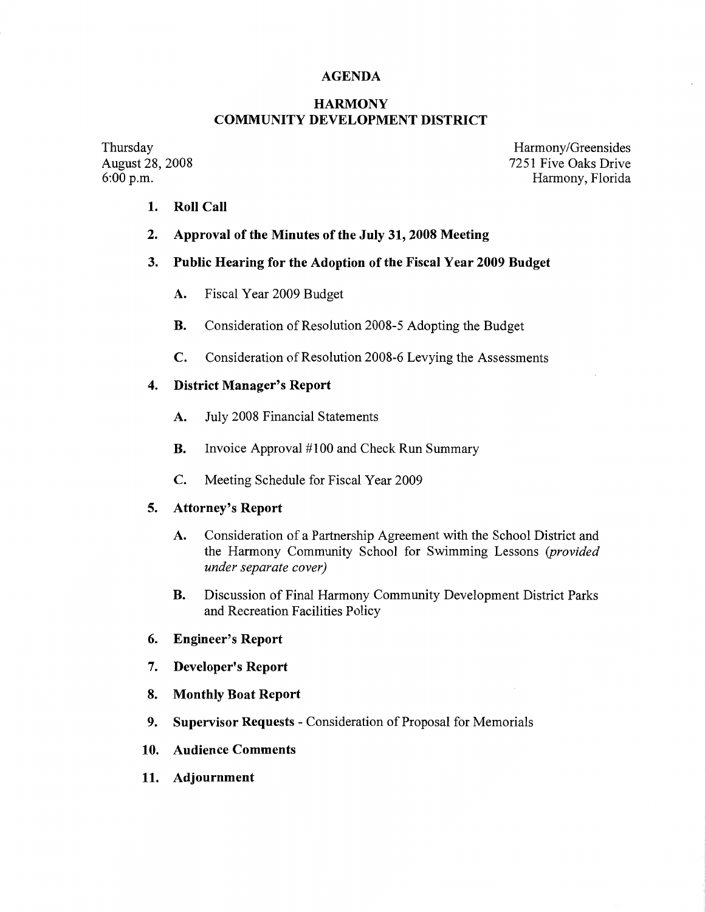## **AGENDA**

## **HARMONY COMMUNITY DEVELOPMENT DISTRICT**

Thursday August 28, 2008 6:00 p.m.

Harmony/Greensides 7251 Five Oaks Drive Harmony, Florida

- **1. Roll Call**
- **2. Approval of the Minutes of the July 31, 2008 Meeting**

## **3. Public Hearing for the Adoption of the Fiscal Year 2009 Budget**

- **A.** Fiscal Year 2009 Budget
- **B.** Consideration of Resolution 2008-5 Adopting the Budget
- **C.** Consideration of Resolution 2008-6 Levying the Assessments

## **4. District Manager's Report**

- **A.** July 2008 Financial Statements
- **B.** Invoice Approval #100 and Check Run Summary
- **C.** Meeting Schedule for Fiscal Year 2009

## **5. Attorney's Report**

- **A.** Consideration of a Partnership Agreement with the School District and the Harmony Community School for Swimming Lessons *(provided under separate cover)*
- **B.** Discussion of Final Harmony Community Development District Parks and Recreation Facilities Policy
- **6. Engineer's Report**
- **7. Developer's Report**
- **8. Monthly Boat Report**
- **9. Supervisor Requests**  Consideration of Proposal for Memorials
- **10. Audience Comments**
- **11. Adjournment**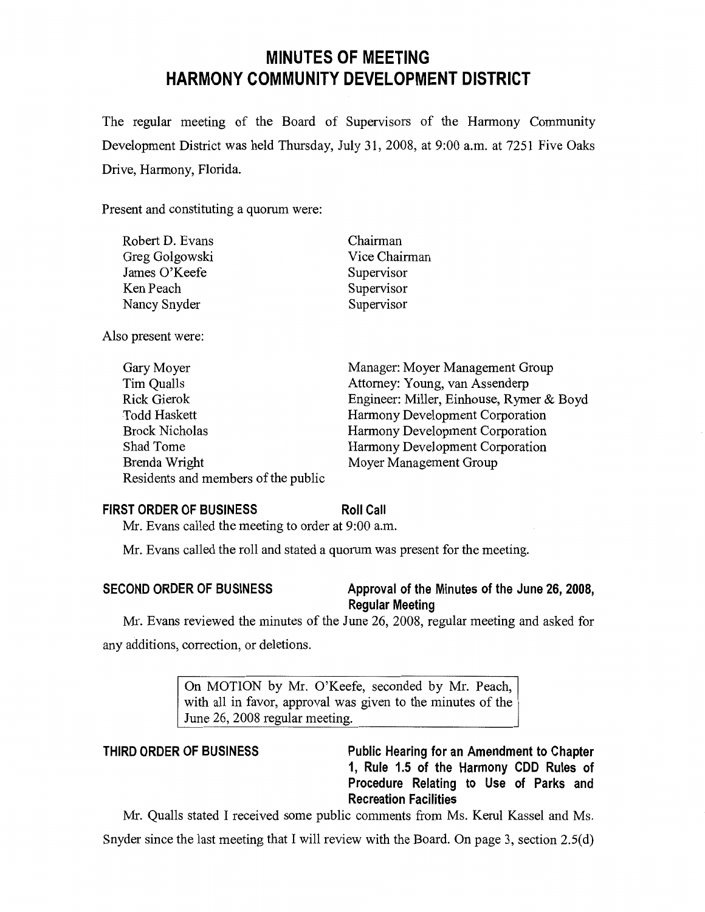# **MINUTES OF MEETING HARMONY COMMUNITY DEVELOPMENT DISTRICT**

The regular meeting of the Board of Supervisors of the Harmony Community Development District was held Thursday, July 31, 2008, at 9:00 a.m. at 7251 Five Oaks Drive, Harmony, Florida.

Present and constituting a quorum were:

| Robert D. Evans | Chairman      |
|-----------------|---------------|
| Greg Golgowski  | Vice Chairman |
| James O'Keefe   | Supervisor    |
| Ken Peach       | Supervisor    |
| Nancy Snyder    | Supervisor    |
|                 |               |

Also present were:

| Gary Moyer                          | Manager: Moyer Management Group          |
|-------------------------------------|------------------------------------------|
| Tim Qualls                          | Attorney: Young, van Assenderp           |
| Rick Gierok                         | Engineer: Miller, Einhouse, Rymer & Boyd |
| <b>Todd Haskett</b>                 | Harmony Development Corporation          |
| <b>Brock Nicholas</b>               | Harmony Development Corporation          |
| Shad Tome                           | Harmony Development Corporation          |
| Brenda Wright                       | Moyer Management Group                   |
| Residents and members of the public |                                          |

## **FIRST ORDER OF BUSINESS**

**Roll Call** 

**Mr.** Evans called the meeting to order at 9:00 a.m.

**Mr.** Evans called the roll and stated a quorum was present for the meeting.

## **SECOND ORDER OF BUSINESS Approval of the Minutes of the June 26, 2008, Regular Meeting**

Mr. Evans reviewed the minutes of the June 26, 2008, regular meeting and asked for any additions, correction, or deletions.

> On MOTION by Mr. O'Keefe, seconded by Mr. Peach, with all in favor, approval was given to the minutes of the June 26, 2008 regular meeting.

**THIRD ORDER OF BUSINESS Public Hearing for an Amendment to Chapter 1, Rule 1.5 of the Harmony CDD Rules of Procedure Relating to Use of Parks and Recreation Facilities** 

Mr. Qualls stated I received some public comments from Ms. Kerul Kassel and Ms.

Snyder since the last meeting that I will review with the Board. On page 3, section 2.5(d)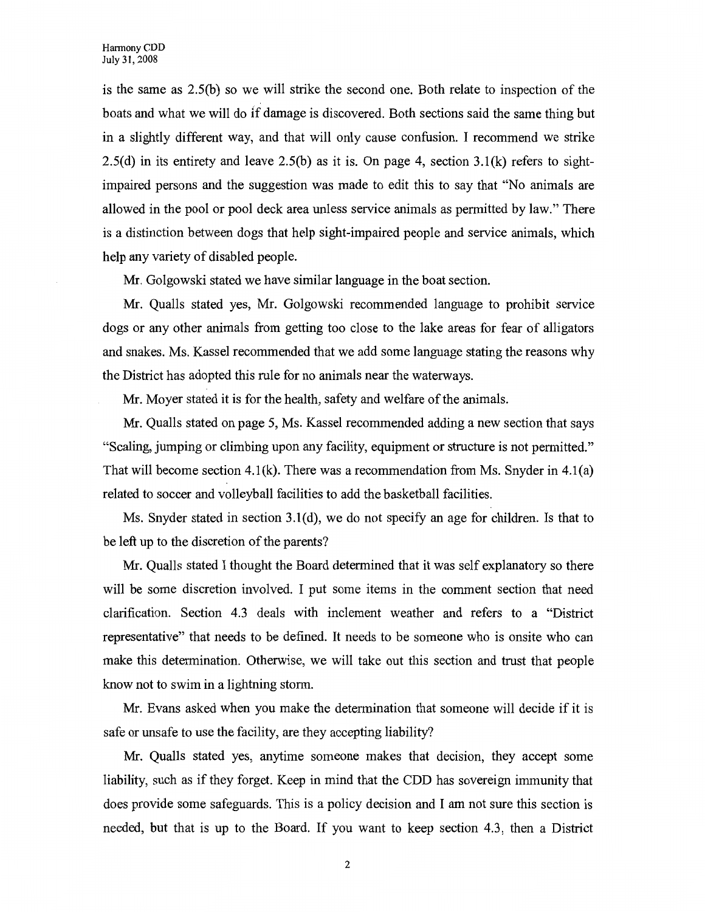is the same as 2.5(b) so we will strike the second one. Both relate to inspection of the boats and what we will do if damage is discovered. Both sections said the same thing but in a slightly different way, and that will only cause confusion. I recommend we strike 2.5(d) in its entirety and leave 2.5(b) as it is. On page 4, section 3.1(k) refers to sightimpaired persons and the suggestion was made to edit this to say that "No animals are allowed in the pool or pool deck area unless service animals as permitted by law." There is a distinction between dogs that help sight-impaired people and service animals, which help any variety of disabled people.

Mr. Golgowski stated we have similar language in the boat section.

Mr. Qualls stated yes, Mr. Golgowski recommended language to prohibit service dogs or any other animals from getting too close to the lake areas for fear of alligators and snakes. Ms. Kassel recommended that we add some language stating the reasons why the District has adopted this rule for no animals near the waterways.

Mr. Moyer stated it is for the health, safety and welfare of the animals.

Mr. Qualls stated on page 5, Ms. Kassel recommended adding a new section that says "Scaling, jumping or climbing upon any facility, equipment or structure is not permitted." That will become section 4.1(k). There was a recommendation from Ms. Snyder in 4.1(a) related to soccer and volleyball facilities to add the basketball facilities.

Ms. Snyder stated in section  $3.1(d)$ , we do not specify an age for children. Is that to be left up to the discretion of the parents?

Mr. Qualls stated I thought the Board determined that it was self explanatory so there will be some discretion involved. I put some items in the comment section that need clarification. Section 4.3 deals with inclement weather and refers to a "District representative" that needs to be defined. It needs to be someone who is onsite who can make this determination. Otherwise, we will take out this section and trust that people know not to swim in a lightning storm.

Mr. Evans asked when you make the determination that someone will decide if it is safe or unsafe to use the facility, are they accepting liability?

Mr. Qualls stated yes, anytime someone makes that decision, they accept some liability, such as if they forget. Keep in mind that the CDD has sovereign immunity that does provide some safeguards. This is a policy decision and I am not sure this section is needed, but that is up to the Board. If you want to keep section 4.3, then a District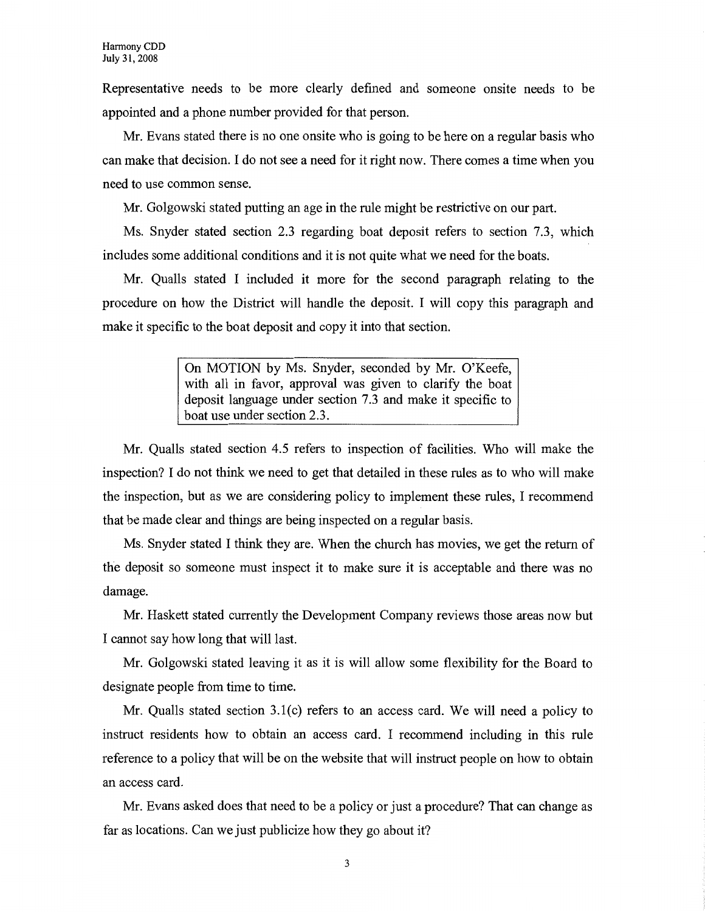Representative needs to be more clearly defined and someone onsite needs to be appointed and a phone number provided for that person.

Mr. Evans stated there is no one onsite who is going to be here on a regular basis who can make that decision. I do not see a need for it right now. There comes a time when you need to use common sense.

Mr. Golgowski stated putting an age in the rule might be restrictive on our part.

Ms. Snyder stated section 2.3 regarding boat deposit refers to section 7.3, which includes some additional conditions and it is not quite what we need for the boats.

Mr. Qualls stated I included it more for the second paragraph relating to the procedure on how the District will handle the deposit. I will copy this paragraph and make it specific to the boat deposit and copy it into that section.

> On MOTION by Ms. Snyder, seconded by Mr. O'Keefe, with all in favor, approval was given to clarify the boat deposit language under section 7.3 and make it specific to boat use under section 2.3.

Mr. Qualls stated section 4.5 refers to inspection of facilities. Who will make the inspection? I do not think we need to get that detailed in these rules as to who will make the inspection, but as we are considering policy to implement these rules, I recommend that be made clear and things are being inspected on a regular basis.

Ms. Snyder stated I think they are. When the church has movies, we get the return of the deposit so someone must inspect it to make sure it is acceptable and there was no damage.

Mr. Haskett stated currently the Development Company reviews those areas now but I cannot say how long that will last.

Mr. Golgowski stated leaving it as it is will allow some flexibility for the Board to designate people from time to time.

Mr. Qualls stated section 3.l(c) refers to an access card. We will need a policy to instruct residents how to obtain an access card. I recommend including in this rule reference to a policy that will be on the website that will instruct people on how to obtain an access card.

Mr. Evans asked does that need to be a policy or just a procedure? That can change as far as locations. Can we just publicize how they go about it?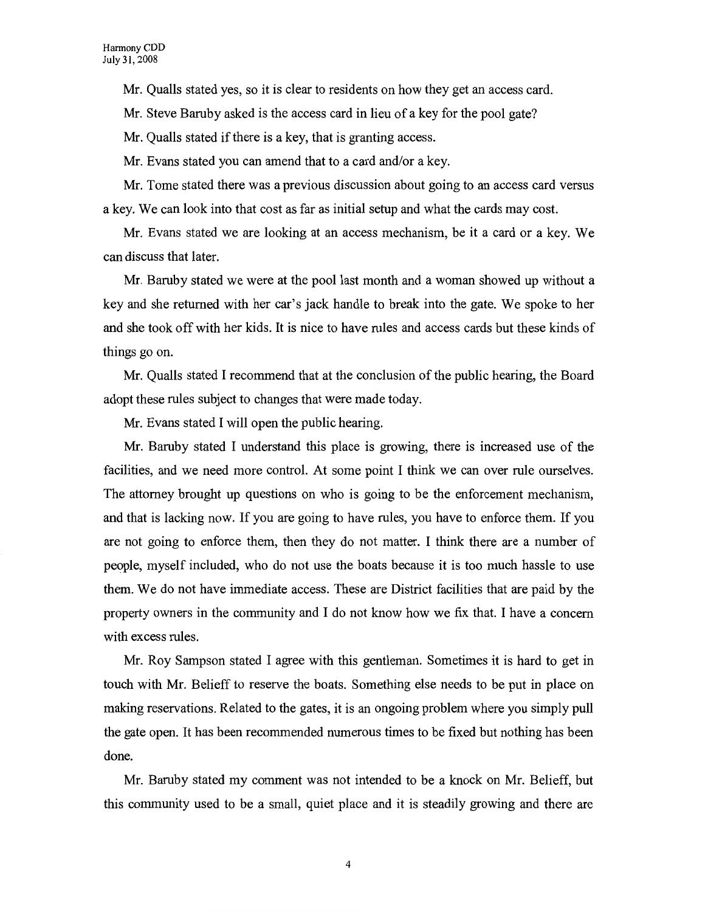Mr. Qualls stated yes, so it is clear to residents on how they get an access card.

Mr. Steve Baruby asked is the access card in lieu of a key for the pool gate?

Mr. Qualls stated if there is a key, that is granting access.

Mr. Evans stated you can amend that to a card and/or a key.

Mr. Tome stated there was a previous discussion about going to an access card versus a key. We can look into that cost as far as initial setup and what the cards may cost.

Mr. Evans stated we are looking at an access mechanism, be it a card or a key. We can discuss that later.

Mr. Baruby stated we were at the pool last month and a woman showed up without a key and she returned with her car's jack handle to break into the gate. We spoke to her and she took off with her kids. It is nice to have rules and access cards but these kinds of things go on.

Mr. Qualls stated I recommend that at the conclusion of the public hearing, the Board adopt these rules subject to changes that were made today.

Mr. Evans stated I will open the public hearing.

Mr. Baruby stated I understand this place is growing, there is increased use of the facilities, and we need more control. At some point I think we can over rule ourselves. The attorney brought up questions on who is going to be the enforcement mechanism, and that is lacking now. If you are going to have rules, you have to enforce them. If you are not going to enforce them, then they do not matter. I think there are a number of people, myself included, who do not use the boats because it is too much hassle to use them. We do not have immediate access. These are District facilities that are paid by the property owners in the community and I do not know how we fix that. I have a concern with excess rules.

Mr. Roy Sampson stated I agree with this gentleman. Sometimes it is hard to get in touch with Mr. Belieff to reserve the boats. Something else needs to be put in place on making reservations. Related to the gates, it is an ongoing problem where you simply pull the gate open. It has been recommended numerous times to be fixed but nothing has been done.

Mr. Baruby stated my comment was not intended to be a knock on Mr. Belieff, but this community used to be a small, quiet place and it is steadily growing and there are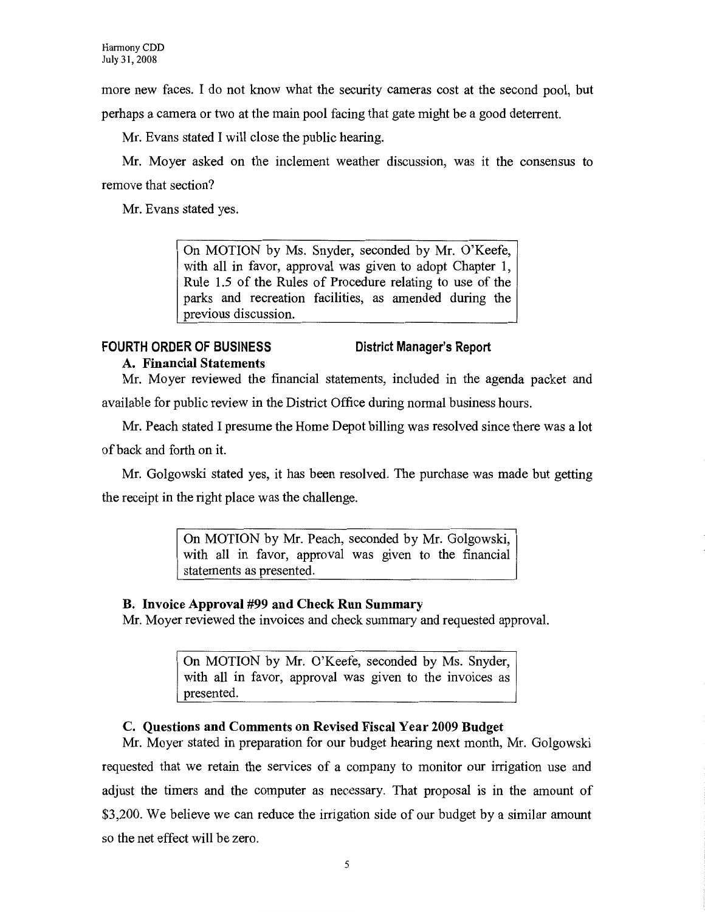more new faces. I do not know what the security cameras cost at the second pool, but

perhaps a camera or two at the main pool facing that gate might be a good deterrent.

Mr. Evans stated I will close the public hearing.

Mr. Moyer asked on the inclement weather discussion, was it the consensus to remove that section?

Mr. Evans stated yes.

On MOTION by Ms. Snyder, seconded by Mr. O'Keefe, with all in favor, approval was given to adopt Chapter 1, Rule 1.5 of the Rules of Procedure relating to use of the parks and recreation facilities, as amended during the previous discussion.

## **FOURTH ORDER OF BUSINESS A. Financial Statements**

## **District Manager's Report**

Mr. Moyer reviewed the financial statements, included in the agenda packet and available for public review in the District Office during normal business hours.

Mr. Peach stated I presume the Home Depot billing was resolved since there was a lot of back and forth on it.

Mr. Golgowski stated yes, it has been resolved. The purchase was made but getting the receipt in the right place was the challenge.

> On MOTION by Mr. Peach, seconded by Mr. Golgowski, with all in favor, approval was given to the financial statements as presented.

## **B. Invoice Approval #99 and Check Run Summary**

Mr. Moyer reviewed the invoices and check summary and requested approval.

On MOTION by Mr. O'Keefe, seconded by Ms. Snyder, with all in favor, approval was given to the invoices as presented.

## **C. Questions and Comments on Revised Fiscal Year 2009 Budget**

Mr. Moyer stated in preparation for our budget hearing next month, Mr. Golgowski requested that we retain the services of a company to monitor our irrigation use and adjust the timers and the computer as necessary. That proposal is in the amount of \$3,200. We believe we can reduce the irrigation side of our budget by a similar amount so the net effect will be zero.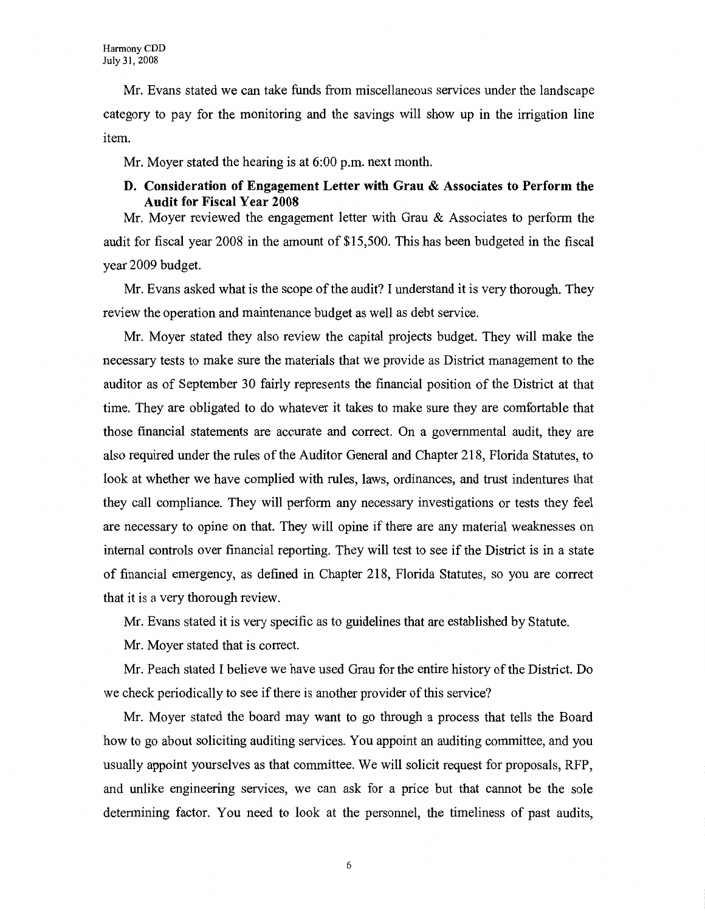Mr. Evans stated we can take funds from miscellaneous services under the landscape category to pay for the monitoring and the savings will show up in the irrigation line item.

Mr. Moyer stated the hearing is at 6:00 p.m. next month.

## **D. Consideration of Engagement Letter with Grau & Associates to Perform the Audit for Fiscal Year 2008**

Mr. Moyer reviewed the engagement letter with Grau & Associates to perform the audit for fiscal year 2008 in the amount of \$15,500. This has been budgeted in the fiscal year 2009 budget.

Mr. Evans asked what is the scope of the audit? I understand it is very thorough. They review the operation and maintenance budget as well as debt service.

Mr. Moyer stated they also review the capital projects budget. They will make the necessary tests to make sure the materials that we provide as District management to the auditor as of September 30 fairly represents the financial position of the District at that time. They are obligated to do whatever it takes to make sure they are comfortable that those financial statements are accurate and correct. On a governmental audit, they are also required under the rules of the Auditor General and Chapter 218, Florida Statutes, to look at whether we have complied with rules, laws, ordinances, and trust indentures that they call compliance. They will perform any necessary investigations or tests they feel are necessary to opine on that. They will opine if there are any material weaknesses on internal controls over financial reporting. They will test to see if the District is in a state of financial emergency, as defined in Chapter 218, Florida Statutes, so you are correct that it is a very thorough review.

Mr. Evans stated it is very specific as to guidelines that are established by Statute.

Mr. Moyer stated that is correct.

Mr. Peach stated I believe we have used Grau for the entire history of the District. Do we check periodically to see if there is another provider of this service?

Mr. Moyer stated the board may want to go through a process that tells the Board how to go about soliciting auditing services. You appoint an auditing committee, and you usually appoint yourselves as that committee. We will solicit request for proposals, RFP, and unlike engineering services, we can ask for a price but that cannot be the sole determining factor. You need to look at the personnel, the timeliness of past audits,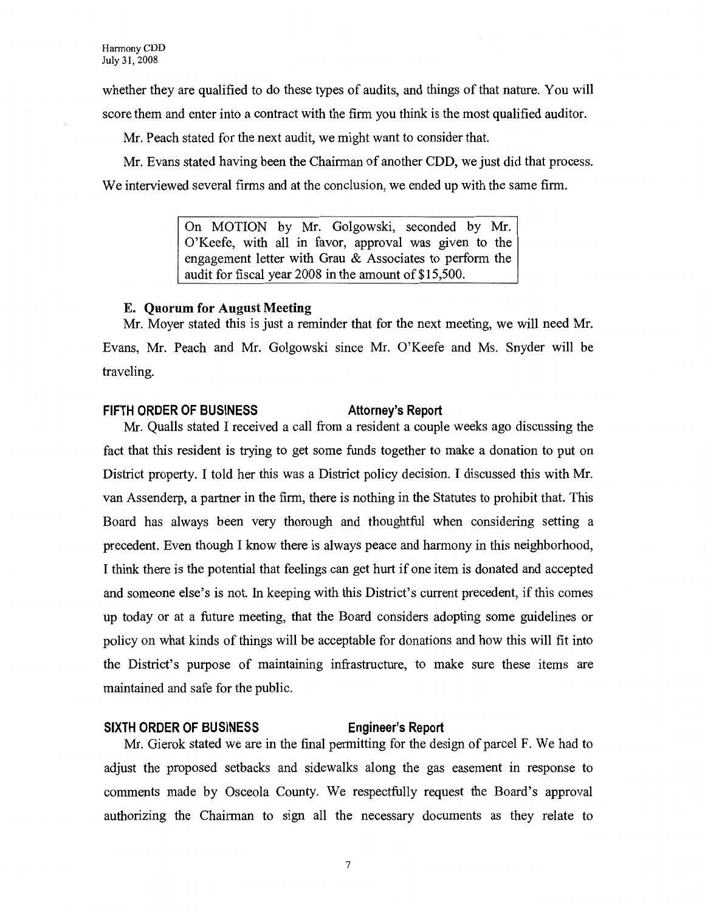whether they are qualified to do these types of audits, and things of that nature. You will score them and enter into a contract with the firm you think is the most qualified auditor.

Mr. Peach stated for the next audit, we might want to consider that.

Mr. Evans stated having been the Chairman of another CDD, we just did that process. We interviewed several firms and at the conclusion, we ended up with the same firm.

> On MOTION by Mr. Golgowski, seconded by Mr. O'Keefe, with all in favor, approval was given to the engagement letter with Grau & Associates to perform the audit for fiscal year 2008 in the amount of \$15,500.

### **E. Quorum for August Meeting**

Mr. Moyer stated this is just a reminder that for the next meeting, we will need Mr. Evans, Mr. Peach and Mr. Golgowski since Mr. O'Keefe and Ms. Snyder will be traveling.

## FIFTH ORDER OF BUSINESS **Attorney's Report**

Mr. Qualls stated I received a call from a resident a couple weeks ago discussing the fact that this resident is trying to get some funds together to make a donation to put on District property. I told her this was a District policy decision. I discussed this with Mr. van Assenderp, a partner in the firm, there is nothing in the Statutes to prohibit that. This Board has always been very thorough and thoughtful when considering setting a precedent. Even though I know there is always peace and harmony in this neighborhood, I think there is the potential that feelings can get hurt if one item is donated and accepted and someone else's is not. In keeping with this District's current precedent, if this comes up today or at a future meeting, that the Board considers adopting some guidelines or policy on what kinds of things will be acceptable for donations and how this will fit into the District's purpose of maintaining infrastructure, to make sure these items are maintained and safe for the public.

## **SIXTH ORDER OF BUSINESS Engineer's Report**

Mr. Gierok stated we are in the final permitting for the design of parcel F. We had to adjust the proposed setbacks and sidewalks along the gas easement in response to comments made by Osceola County. We respectfully request the Board's approval authorizing the Chairman to sign all the necessary documents as they relate to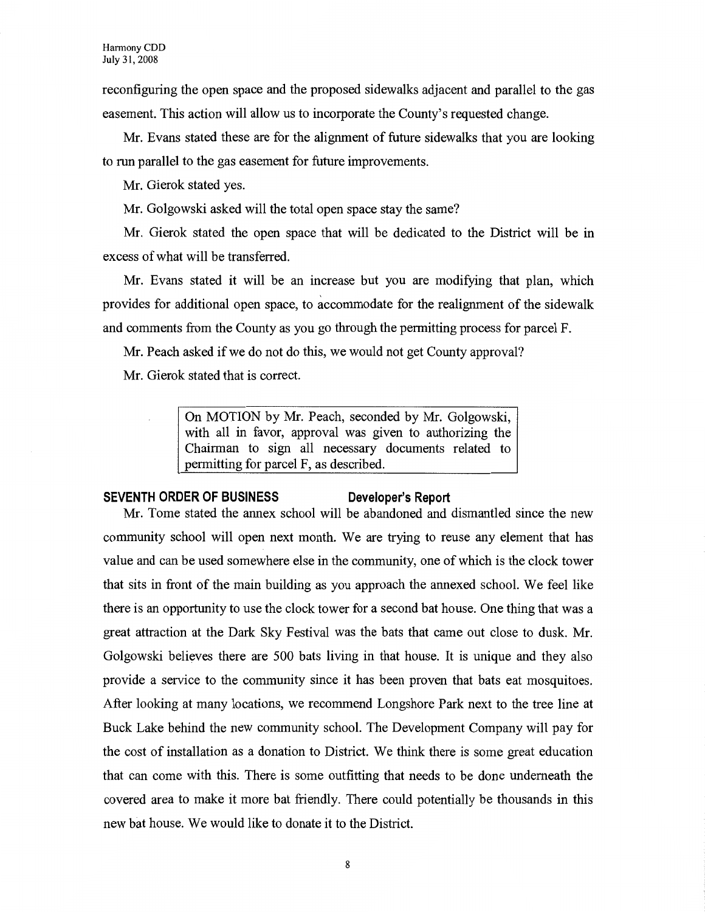reconfiguring the open space and the proposed sidewalks adjacent and parallel to the gas easement. This action will allow us to incorporate the County's requested change.

Mr. Evans stated these are for the alignment of future sidewalks that you are looking to run parallel to the gas easement for future improvements.

Mr. Gierok stated yes.

Mr. Golgowski asked will the total open space stay the same?

Mr. Gierok stated the open space that will be dedicated to the District will be in excess of what will be transferred.

Mr. Evans stated it will be an increase but you are modifying that plan, which provides for additional open space, to accommodate for the realignment of the sidewalk and comments from the County as you go through the permitting process for parcel F.

Mr. Peach asked if we do not do this, we would not get County approval?

Mr. Gierok stated that is correct.

On MOTION by Mr. Peach, seconded by Mr. Golgowski, with all in favor, approval was given to authorizing the Chairman to sign all necessary documents related to permitting for parcel F, as described.

#### **SEVENTH ORDER OF BUSINESS Developer's Report**

Mr. Tome stated the annex school will be abandoned and dismantled since the new community school will open next month. We are trying to reuse any element that has value and can be used somewhere else in the community, one of which is the clock tower that sits in front of the main building as you approach the annexed school. We feel like there is an opportunity to use the clock tower for a second bat house. One thing that was a great attraction at the Dark Sky Festival was the bats that came out close to dusk. Mr. Golgowski believes there are 500 bats living in that house. It is unique and they also provide a service to the community since it has been proven that bats eat mosquitoes. After looking at many locations, we recommend Longshore Park next to the tree line at Buck Lake behind the new community school. The Development Company will pay for the cost of installation as a donation to District. We think there is some great education that can come with this. There is some outfitting that needs to be done underneath the covered area to make it more bat friendly. There could potentially be thousands in this new bat house. We would like to donate it to the District.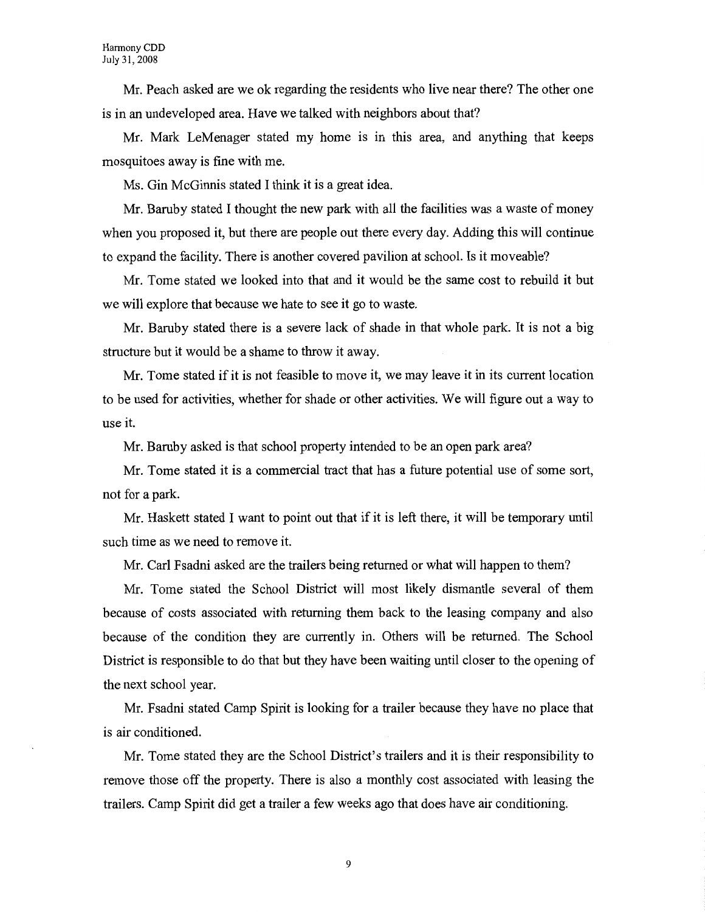Mr. Peach asked are we ok regarding the residents who live near there? The other one is in an undeveloped area. Have we talked with neighbors about that?

Mr. Mark LeMenager stated my home is in this area, and anything that keeps mosquitoes away is fine with me.

Ms. Gin McGinnis stated I think it is a great idea.

Mr. Baruby stated I thought the new park with all the facilities was a waste of money when you proposed it, but there are people out there every day. Adding this will continue to expand the facility. There is another covered pavilion at school. Is it moveable?

Mr. Tome stated we looked into that and it would be the same cost to rebuild it but we will explore that because we hate to see it go to waste.

Mr. Baruby stated there is a severe lack of shade in that whole park. It is not a big structure but it would be a shame to throw it away.

Mr. Tome stated if it is not feasible to move it, we may leave it in its current location to be used for activities, whether for shade or other activities. We will figure out a way to use it.

Mr. Baruby asked is that school property intended to be an open park area?

Mr. Tome stated it is a commercial tract that has a future potential use of some sort, not for a park.

Mr. Haskett stated I want to point out that if it is left there, it will be temporary until such time as we need to remove it.

Mr. Carl Fsadni asked are the trailers being returned or what will happen to them?

Mr. Tome stated the School District will most likely dismantle several of them because of costs associated with returning them back to the leasing company and also because of the condition they are currently in. Others will be returned. The School District is responsible to do that but they have been waiting until closer to the opening of the next school year.

Mr. Fsadni stated Camp Spirit is looking for a trailer because they have no place that is air conditioned.

Mr. Tome stated they are the School District's trailers and it is their responsibility to remove those off the property. There is also a monthly cost associated with leasing the trailers. Camp Spirit did get a trailer a few weeks ago that does have air conditioning.

9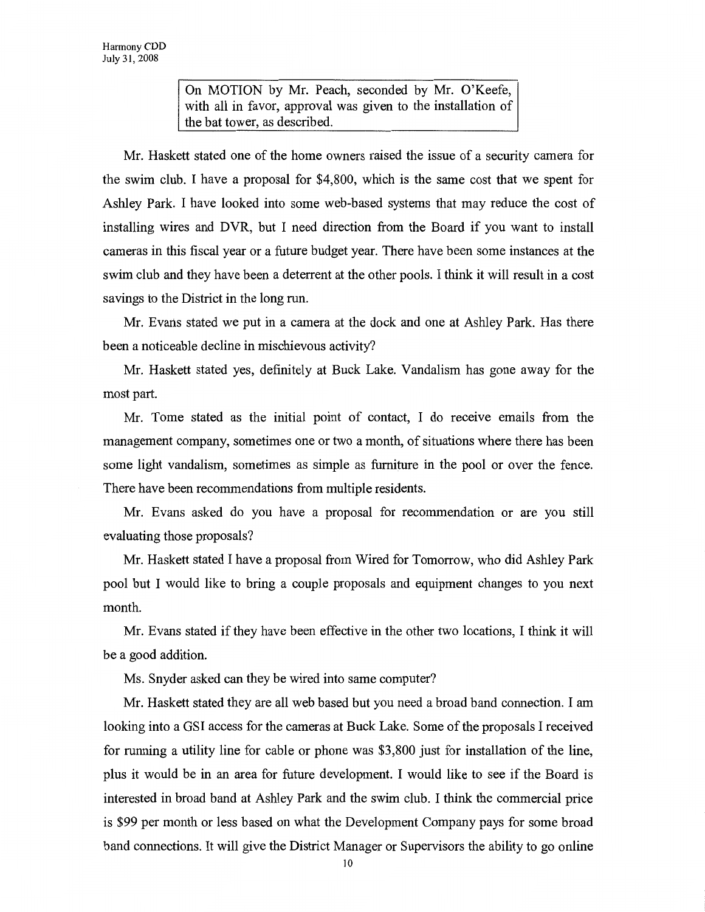On MOTION by Mr. Peach, seconded by Mr. O'Keefe, with all in favor, approval was given to the installation of the bat tower, as described.

Mr. Haskett stated one of the home owners raised the issue of a security camera for the swim club. I have a proposal for \$4,800, which is the same cost that we spent for Ashley Park. I have looked into some web-based systems that may reduce the cost of installing wires and DVR, but I need direction from the Board if you want to install cameras in this fiscal year or a future budget year. There have been some instances at the swim club and they have been a deterrent at the other pools. I think it will result in a cost savings to the District in the long run.

Mr. Evans stated we put in a camera at the dock and one at Ashley Park. Has there been a noticeable decline in mischievous activity?

Mr. Haskett stated yes, definitely at Buck Lake. Vandalism has gone away for the most part.

Mr. Tome stated as the initial point of contact, I do receive emails from the management company, sometimes one or two a month, of situations where there has been some light vandalism, sometimes as simple as furniture in the pool or over the fence. There have been recommendations from multiple residents.

Mr. Evans asked do you have a proposal for recommendation or are you still evaluating those proposals?

Mr. Haskett stated I have a proposal from Wired for Tomorrow, who did Ashley Park pool but I would like to bring a couple proposals and equipment changes to you next month.

Mr. Evans stated if they have been effective in the other two locations, I think it will be a good addition.

Ms. Snyder asked can they be wired into same computer?

Mr. Haskett stated they are all web based but you need a broad band connection. I am looking into a OSI access for the cameras at Buck Lake. Some of the proposals I received for running a utility line for cable or phone was \$3,800 just for installation of the line, plus it would be in an area for future development. I would like to see if the Board is interested in broad band at Ashley Park and the swim club. I think the commercial price is \$99 per month or less based on what the Development Company pays for some broad band connections. It will give the District Manager or Supervisors the ability to go online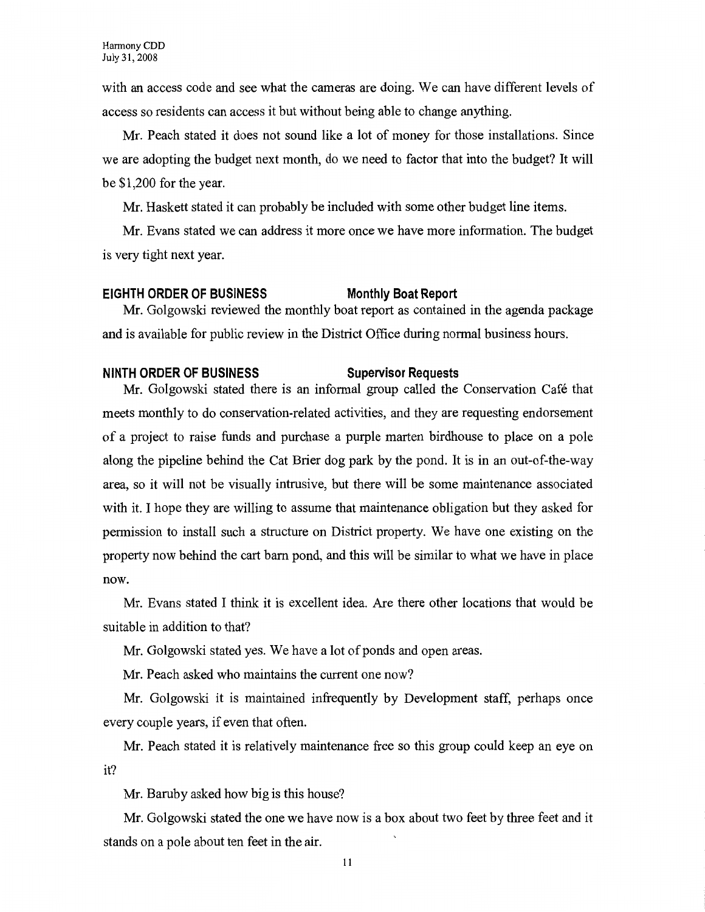with an access code and see what the cameras are doing. We can have different levels of access so residents can access it but without being able to change anything.

Mr. Peach stated it does not sound like a lot of money for those installations. Since we are adopting the budget next month, do we need to factor that into the budget? It will be \$1,200 for the year.

Mr. Haskett stated it can probably be included with some other budget line items.

Mr. Evans stated we can address it more once we have more information. The budget is very tight next year.

#### **EIGHTH ORDER OF BUSINESS Monthly Boat Report**

Mr. Golgowski reviewed the monthly boat report as contained in the agenda package and is available for public review in the District Office during normal business hours.

### **NINTH ORDER OF BUSINESS Supervisor Requests**

Mr. Golgowski stated there is an informal group called the Conservation Cafe that meets monthly to do conservation-related activities, and they are requesting endorsement of a project to raise funds and purchase a purple marten birdhouse to place on a pole along the pipeline behind the Cat Brier dog park by the pond. It is in an out-of-the-way area, so it will not be visually intrusive, but there will be some maintenance associated with it. I hope they are willing to assume that maintenance obligation but they asked for permission to install such a structure on District property. We have one existing on the property now behind the cart barn pond, and this will be similar to what we have in place now.

Mr. Evans stated I think it is excellent idea. Are there other locations that would be suitable in addition to that?

Mr. Golgowski stated yes. We have a lot of ponds and open areas.

Mr. Peach asked who maintains the current one now?

Mr. Golgowski it is maintained infrequently by Development staff, perhaps once every couple years, if even that often.

Mr. Peach stated it is relatively maintenance free so this group could keep an eye on it?

Mr. Baruby asked how big is this house?

Mr. Golgowski stated the one we have now is a box about two feet by three feet and it stands on a pole about ten feet in the air.

11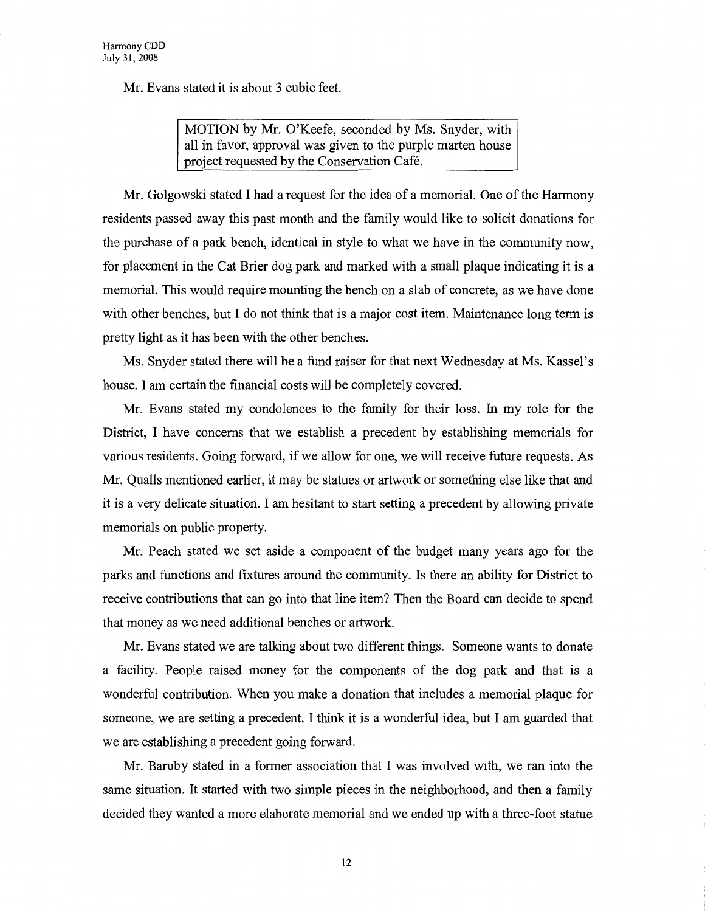Mr. Evans stated it is about 3 cubic feet.

MOTION by Mr. O'Keefe, seconded by Ms. Snyder, with all in favor, approval was given to the purple marten house project requested by the Conservation Cafe.

Mr. Golgowski stated I had a request for the idea of a memorial. One of the Harmony residents passed away this past month and the family would like to solicit donations for the purchase of a park bench, identical in style to what we have in the community now, for placement in the Cat Brier dog park and marked with a small plaque indicating it is a memorial. This would require mounting the bench on a slab of concrete, as we have done with other benches, but I do not think that is a major cost item. Maintenance long term is pretty light as it has been with the other benches.

Ms. Snyder stated there will be a fund raiser for that next Wednesday at Ms. Kassel's house. I am certain the financial costs will be completely covered.

Mr. Evans stated my condolences to the family for their loss. In my role for the District, I have concerns that we establish a precedent by establishing memorials for various residents. Going forward, if we allow for one, we will receive future requests. As Mr. Qualls mentioned earlier, it may be statues or artwork or something else like that and it is a very delicate situation. I am hesitant to start setting a precedent by allowing private memorials on public property.

Mr. Peach stated we set aside a component of the budget many years ago for the parks and functions and fixtures around the community. Is there an ability for District to receive contributions that can go into that line item? Then the Board can decide to spend that money as we need additional benches or artwork.

Mr. Evans stated we are talking about two different things. Someone wants to donate a facility. People raised money for the components of the dog park and that is a wonderful contribution. When you make a donation that includes a memorial plaque for someone, we are setting a precedent. I think it is a wonderful idea, but I am guarded that we are establishing a precedent going forward.

Mr. Baruby stated in a former association that I was involved with, we ran into the same situation. It started with two simple pieces in the neighborhood, and then a family decided they wanted a more elaborate memorial and we ended up with a three-foot statue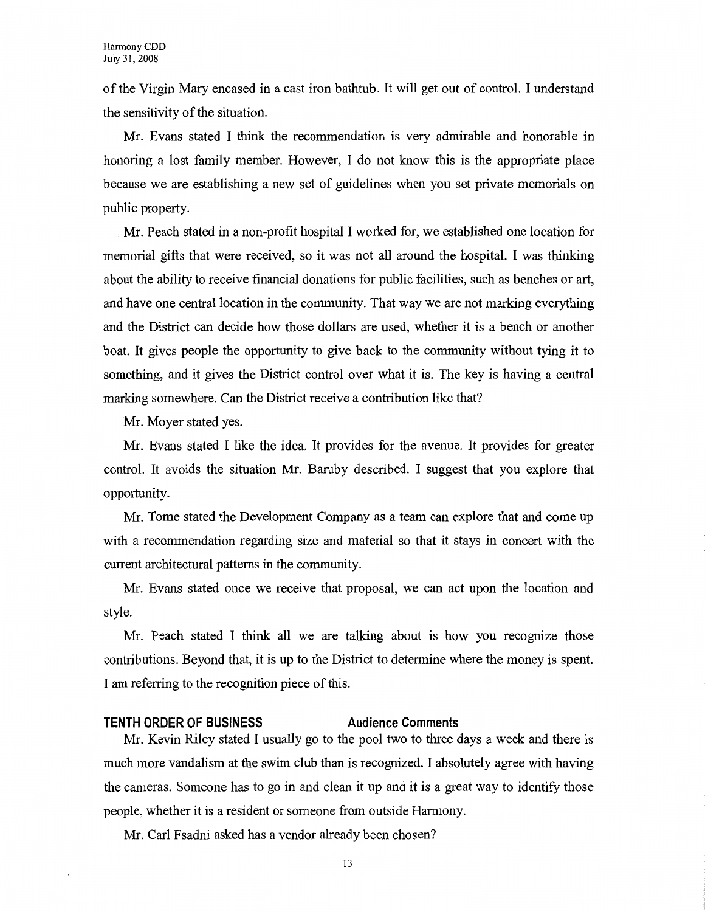of the Virgin Mary encased in a cast iron bathtub. It will get out of control. I understand the sensitivity of the situation.

Mr. Evans stated I think the recommendation is very admirable and honorable in honoring a lost family member. However, I do not know this is the appropriate place because we are establishing a new set of guidelines when you set private memorials on public property.

Mr. Peach stated in a non-profit hospital I worked for, we established one location for memorial gifts that were received, so it was not all around the hospital. I was thinking about the ability to receive financial donations for public facilities, such as benches or art, and have one central location in the community. That way we are not marking everything and the District can decide how those dollars are used, whether it is a bench or another boat. It gives people the opportunity to give back to the community without tying it to something, and it gives the District control over what it is. The key is having a central marking somewhere. Can the District receive a contribution like that?

Mr. Moyer stated yes.

Mr. Evans stated I like the idea. It provides for the avenue. It provides for greater control. It avoids the situation Mr. Baruby described. I suggest that you explore that opportunity.

Mr. Tome stated the Development Company as a team can explore that and come up with a recommendation regarding size and material so that it stays in concert with the current architectural patterns in the community.

Mr. Evans stated once we receive that proposal, we can act upon the location and style.

Mr. Peach stated I think all we are talking about is how you recognize those contributions. Beyond that, it is up to the District to determine where the money is spent. I am referring to the recognition piece of this.

## **TENTH ORDER OF BUSINESS Audience Comments**

Mr. Kevin Riley stated I usually go to the pool two to three days a week and there is much more vandalism at the swim club than is recognized. I absolutely agree with having the cameras. Someone has to go in and clean it up and it is a great way to identify those people, whether it is a resident or someone from outside Harmony.

Mr. Carl Fsadni asked has a vendor already been chosen?